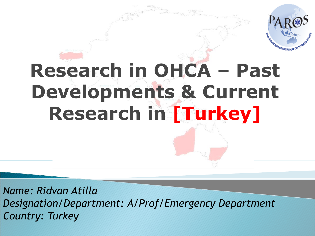

# **Research in OHCA – Past Developments & Current Research in [Turkey]**

*Name: Ridvan Atilla Designation/Department: A/Prof/Emergency Department Country: Turkey*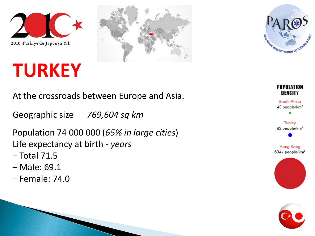





### **TURKEY**

At the crossroads between Europe and Asia.

Geographic size *769,604 sq km*

Population 74 000 000 (*65% in large cities*) Life expectancy at birth - *years*

- Total 71.5
- Male: 69.1
- Female: 74.0



South Africa 40 people/km<sup>2</sup>

Turkey 93 people/km<sup>2</sup>

Hong Kong 6347 people/km<sup>2</sup>



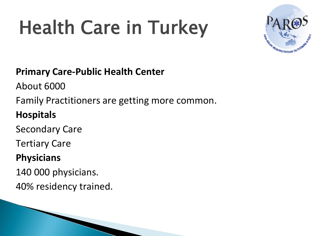# Health Care in Turkey



#### **Primary Care-Public Health Center**

About 6000

Family Practitioners are getting more common.

#### **Hospitals**

Secondary Care

Tertiary Care

#### **Physicians**

140 000 physicians.

40% residency trained.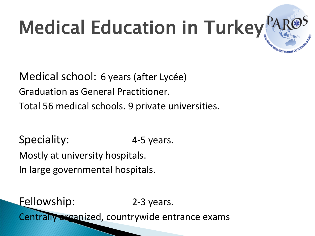# Medical Education in Turkey

Medical school: 6 years (after Lycée) Graduation as General Practitioner. Total 56 medical schools. 9 private universities.

Speciality: 4-5 years. Mostly at university hospitals. In large governmental hospitals.

Fellowship: 2-3 years. Centrally excanized, countrywide entrance exams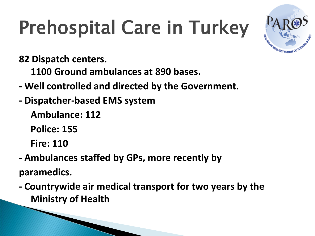# Prehospital Care in Turkey



**82 Dispatch centers.**

**1100 Ground ambulances at 890 bases.**

- **- Well controlled and directed by the Government.**
- **- Dispatcher-based EMS system**

**Ambulance: 112**

**Police: 155**

**Fire: 110**

- **- Ambulances staffed by GPs, more recently by paramedics.**
- **- Countrywide air medical transport for two years by the Ministry of Health**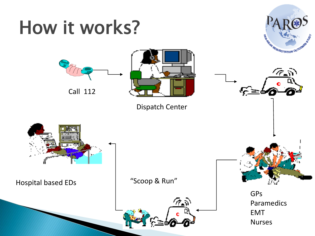### How it works?



77 S

∻≘



Call 112



Dispatch Center

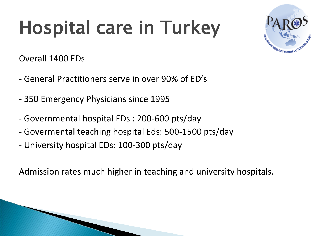# Hospital care in Turkey



Overall 1400 EDs

- General Practitioners serve in over 90% of ED's
- 350 Emergency Physicians since 1995
- Governmental hospital EDs : 200-600 pts/day
- Govermental teaching hospital Eds: 500-1500 pts/day
- University hospital EDs: 100-300 pts/day

Admission rates much higher in teaching and university hospitals.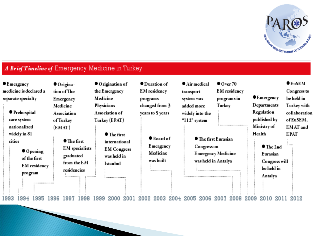

#### A Brief Timeline of Emergency Medicine in Turkey

| $\bullet$ Emergency<br>medicine is declared a<br>separate specialty |                                               |                                                                     |      | ● Origina-<br>tion of The<br>Emergency<br>Medicine                                                |                    |                                 | ● Origination of<br>the Emergency<br>Medicine<br>Physicians                           |                  | $\bullet$ Duration of<br><b>EM</b> residency<br>programs<br>changed from 3 |                                                                                   | $\bullet$ Air medical<br>transport<br>system was<br>added more |                                                            | $\bullet$ O ver 70<br><b>EM</b> residency<br>programs in<br>Turkey |  |                                           | $\bullet$ Emergency<br>Departments |                                                                        | $\bullet$ EuSEM<br>Congress to<br>be held in<br>Turkey with |            |
|---------------------------------------------------------------------|-----------------------------------------------|---------------------------------------------------------------------|------|---------------------------------------------------------------------------------------------------|--------------------|---------------------------------|---------------------------------------------------------------------------------------|------------------|----------------------------------------------------------------------------|-----------------------------------------------------------------------------------|----------------------------------------------------------------|------------------------------------------------------------|--------------------------------------------------------------------|--|-------------------------------------------|------------------------------------|------------------------------------------------------------------------|-------------------------------------------------------------|------------|
|                                                                     | ● Preho spital<br>care system<br>nationalized |                                                                     |      | Association<br>of Turkey                                                                          |                    | Association of<br>Turkey (EPAT) |                                                                                       | years to 5 years |                                                                            | widely into the<br>" $112$ " system                                               |                                                                |                                                            |                                                                    |  | Regulation<br>published by<br>Ministry of |                                    | collaboration<br>of EuSEM,<br><b>EMAT</b> and                          |                                                             |            |
|                                                                     | widely in 81<br>cities                        | $\bullet$ Opening<br>of the first<br><b>EM</b> residency<br>program |      | (EMAT)<br>$\bullet$ The first<br><b>EM</b> specialists<br>graduated<br>from the EM<br>residencies |                    |                                 | $\bullet$ The first<br>international<br><b>EM Congress</b><br>was held in<br>Istanbul |                  |                                                                            | $\bullet$ Board of<br>Emergency<br>Medicine<br>was built<br>--------------------- |                                                                | ● The first Eurasian<br>Congress on<br>was held in Antalya |                                                                    |  | Emergency Medicine                        |                                    | Health<br>$\bullet$ The 2nd<br>Eurasian<br>Congress will<br>be held in |                                                             | E PAT<br>. |
|                                                                     | <br>994!<br>993!                              | <b><i>AUSTRALIAN &amp; RESISTENCE</i></b><br>.995                   | .996 | **************<br>1997                                                                            | **********<br>998. |                                 | *********************                                                                 |                  |                                                                            | 2003                                                                              |                                                                | 2005                                                       | 2006                                                               |  | 2008                                      | 2009                               | Antalya                                                                |                                                             |            |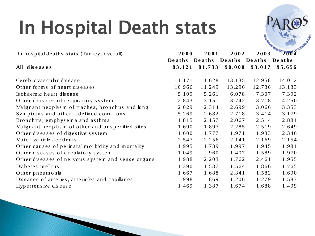# In Hospital Death stats

| In Hospital Death stats                           |                       |                |                       |        |                                        |
|---------------------------------------------------|-----------------------|----------------|-----------------------|--------|----------------------------------------|
| In hospital deaths stats (Turkey, overall)        | 2000<br><b>Deaths</b> | 2001<br>Deaths | 2002<br>Deaths Deaths |        | <b>RATIONAL REGUSCHADO 4</b><br>Deaths |
| All diseases                                      | 83.121                | 81.733         | 90.000                | 93.017 | 95.656                                 |
| Cerebrovascular disease                           | 11.171                | 11.628         | 13.135                | 12.958 | 14.012                                 |
| Other forms of heart diseases                     | 10.966                | 11.249         | 13.296                | 12.736 | 13.133                                 |
| Is chaemic heart disease                          | 5.109                 | 5.261          | 6.078                 | 7.307  | 7.392                                  |
| Other diseases of respiratory system              | 2.843                 | 3.151          | 3.742                 | 3.718  | 4.250                                  |
| Malignant neoplasm of trachea, bronchus and lung  | 2.029                 | 2.314          | 2.699                 | 3.066  | 3.353                                  |
| Symptoms and other ill-defined conditions         | 5.269                 | 2.682          | 2.718                 | 3.414  | 3.179                                  |
| Bronchitis, emphysema and asthma                  | 1.815                 | 2.157          | 2.067                 | 2.514  | 2.881                                  |
| Malignant neoplasm of other and unspecified sites | 1.690                 | 1.897          | 2.285                 | 2.519  | 2.649                                  |
| Other diseases of digestive system                | 1.600                 | 1.777          | 1.971                 | 1.933  | 2.346                                  |
| Motor vehicle accidents                           | 2.547                 | 2.256          | 2.141                 | 2.169  | 2.154                                  |
| Other causes of permatal morbidity and mortality  | 1.995                 | 1.739          | 1.997                 | 1.945  | 1.981                                  |
| Other diseases of circulatory system              | 1.049                 | 960            | 1.407                 | 1.589  | 1.970                                  |
| Other diseases of nervous system and sense organs | 1.988                 | 2.203          | 1.762                 | 2.461  | 1.955                                  |
| Diabetes mellitus                                 | 1.390                 | 1.537          | 1.564                 | 1.866  | 1.765                                  |
| Other pneumonia                                   | 1.667                 | 1.688          | 2.341                 | 1.582  | 1.690                                  |
| Diseases of arteries, arterioles and capillaries  | 998                   | 869            | 1.206                 | 1.279  | 1.583                                  |
| Hypertensive disease                              | 1.469                 | 1.387          | 1.674                 | 1.688  | 1.499                                  |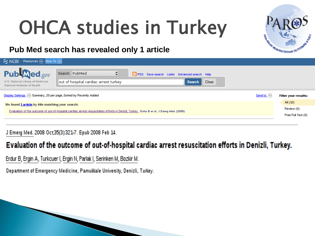# OHCA studies in Turkey



#### **Pub Med search has revealed only 1 article**

| $8$ NCBI<br>Resources $\boxed{\vee}$ How To $\boxed{\vee}$                                                                               |                                                                                                                                       |                    |  |  |  |  |  |  |  |
|------------------------------------------------------------------------------------------------------------------------------------------|---------------------------------------------------------------------------------------------------------------------------------------|--------------------|--|--|--|--|--|--|--|
| $Pub$ <i><b>Med</b>gov</i><br>U.S. National Library of Medicine<br>National Institutes of Health                                         | Search: PubMed<br>≎<br>RSS Save search Limits Advanced search Help<br>out of hospital cardiac arrest turkey<br>Clear<br><b>Search</b> |                    |  |  |  |  |  |  |  |
| $Display$ Settings: $[\heartsuit]$ Summary, 20 per page, Sorted by Recently Added<br>Send to: $[\vee]$                                   |                                                                                                                                       |                    |  |  |  |  |  |  |  |
| We found 1 article by title matching your search:                                                                                        |                                                                                                                                       |                    |  |  |  |  |  |  |  |
| Evaluation of the outcome of out-of-hospital cardiac arrest resuscitation efforts in Denizli, Turkey. Erdur B et al. J Emerg Med. (2008) |                                                                                                                                       |                    |  |  |  |  |  |  |  |
|                                                                                                                                          |                                                                                                                                       | Free Full Text (0) |  |  |  |  |  |  |  |
|                                                                                                                                          |                                                                                                                                       |                    |  |  |  |  |  |  |  |

#### J Emerg Med. 2008 Oct;35(3):321-7. Epub 2008 Feb 14.

#### Evaluation of the outcome of out-of-hospital cardiac arrest resuscitation efforts in Denizli, Turkey.

Erdur B, Ergin A, Turkcuer I, Ergin N, Parlak I, Serinken M, Bozkir M.

Department of Emergency Medicine, Pamukkale University, Denizli, Turkey.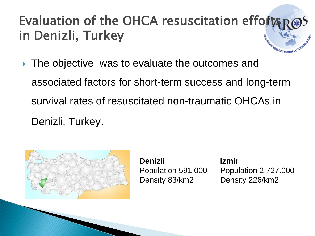### Evaluation of the OHCA resuscitation efforts in Denizli, Turkey

▶ The objective was to evaluate the outcomes and associated factors for short-term success and long-term survival rates of resuscitated non-traumatic OHCAs in

Denizli, Turkey.



**Denizli** Population 591.000 Density 83/km2

**Izmir** Population 2.727.000 Density 226/km2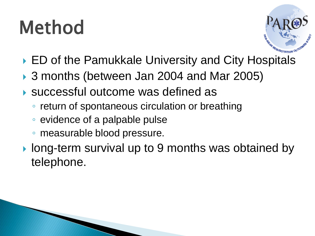# Method



- ▶ ED of the Pamukkale University and City Hospitals
- ▶ 3 months (between Jan 2004 and Mar 2005)
- successful outcome was defined as
	- return of spontaneous circulation or breathing
	- evidence of a palpable pulse
	- measurable blood pressure.
- ▶ long-term survival up to 9 months was obtained by telephone.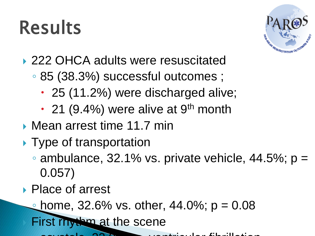### Results



- ▶ 222 OHCA adults were resuscitated
	- 85 (38.3%) successful outcomes ;
		- 25 (11.2%) were discharged alive;
		- $\cdot$  21 (9.4%) were alive at 9<sup>th</sup> month
- ▶ Mean arrest time 11.7 min
- ▶ Type of transportation
	- $\circ$  ambulance, 32.1% vs. private vehicle, 44.5%;  $p =$ 0.057)
- ▶ Place of arrest
	- home, 32.6% vs. other, 44.0%;  $p = 0.08$

First rhythm at the scene

 $\Box$   $\Box$   $\Box$   $\Box$   $\Box$   $\Box$  ventricular fibrillation-